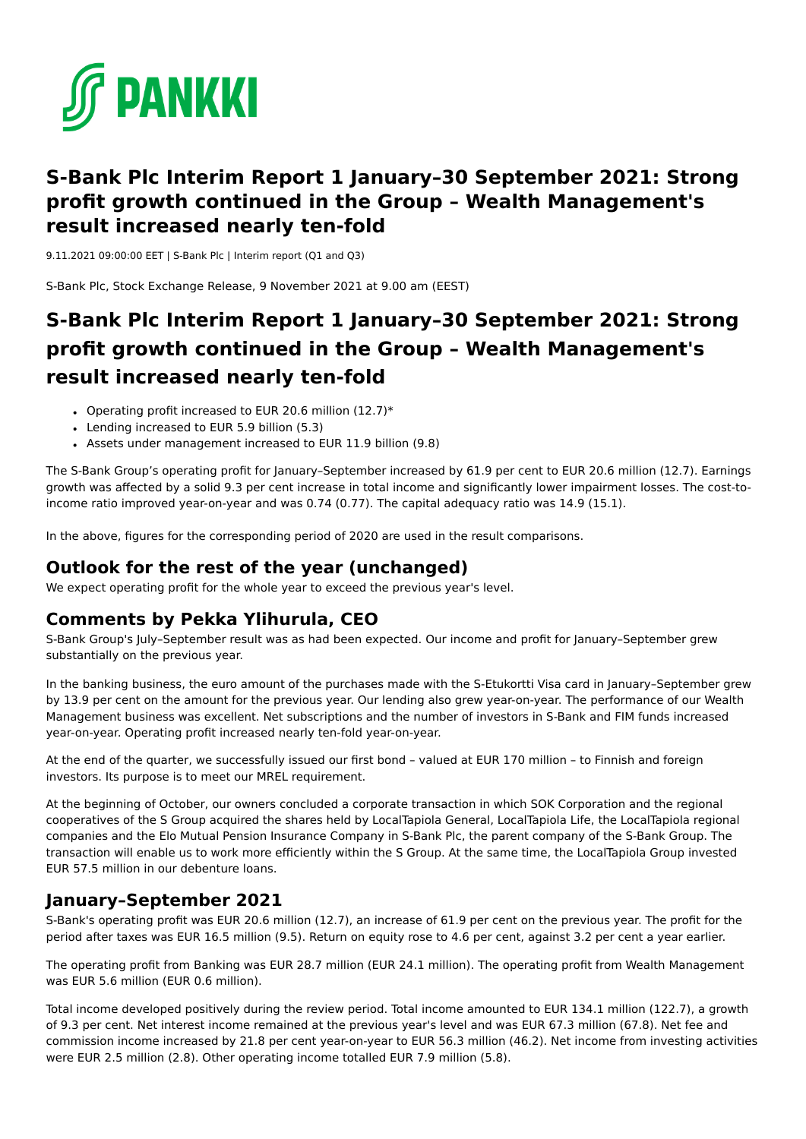

## **S-Bank Plc Interim Report 1 January–30 September 2021: Strong profit growth continued in the Group – Wealth Management's result increased nearly ten-fold**

9.11.2021 09:00:00 EET | S-Bank Plc | Interim report (Q1 and Q3)

S-Bank Plc, Stock Exchange Release, 9 November 2021 at 9.00 am (EEST)

# **S-Bank Plc Interim Report 1 January–30 September 2021: Strong profit growth continued in the Group – Wealth Management's result increased nearly ten-fold**

- Operating profit increased to EUR 20.6 million  $(12.7)*$
- Lending increased to EUR 5.9 billion (5.3)
- Assets under management increased to EUR 11.9 billion (9.8)

The S-Bank Group's operating profit for January–September increased by 61.9 per cent to EUR 20.6 million (12.7). Earnings growth was affected by a solid 9.3 per cent increase in total income and significantly lower impairment losses. The cost-toincome ratio improved year-on-year and was 0.74 (0.77). The capital adequacy ratio was 14.9 (15.1).

In the above, figures for the corresponding period of 2020 are used in the result comparisons.

## **Outlook for the rest of the year (unchanged)**

We expect operating profit for the whole year to exceed the previous year's level.

## **Comments by Pekka Ylihurula, CEO**

S-Bank Group's July–September result was as had been expected. Our income and profit for January–September grew substantially on the previous year.

In the banking business, the euro amount of the purchases made with the S-Etukortti Visa card in January–September grew by 13.9 per cent on the amount for the previous year. Our lending also grew year-on-year. The performance of our Wealth Management business was excellent. Net subscriptions and the number of investors in S-Bank and FIM funds increased year-on-year. Operating profit increased nearly ten-fold year-on-year.

At the end of the quarter, we successfully issued our first bond – valued at EUR 170 million – to Finnish and foreign investors. Its purpose is to meet our MREL requirement.

At the beginning of October, our owners concluded a corporate transaction in which SOK Corporation and the regional cooperatives of the S Group acquired the shares held by LocalTapiola General, LocalTapiola Life, the LocalTapiola regional companies and the Elo Mutual Pension Insurance Company in S-Bank Plc, the parent company of the S-Bank Group. The transaction will enable us to work more efficiently within the S Group. At the same time, the LocalTapiola Group invested EUR 57.5 million in our debenture loans.

## **January–September 2021**

S-Bank's operating profit was EUR 20.6 million (12.7), an increase of 61.9 per cent on the previous year. The profit for the period after taxes was EUR 16.5 million (9.5). Return on equity rose to 4.6 per cent, against 3.2 per cent a year earlier.

The operating profit from Banking was EUR 28.7 million (EUR 24.1 million). The operating profit from Wealth Management was EUR 5.6 million (EUR 0.6 million).

Total income developed positively during the review period. Total income amounted to EUR 134.1 million (122.7), a growth of 9.3 per cent. Net interest income remained at the previous year's level and was EUR 67.3 million (67.8). Net fee and commission income increased by 21.8 per cent year-on-year to EUR 56.3 million (46.2). Net income from investing activities were EUR 2.5 million (2.8). Other operating income totalled EUR 7.9 million (5.8).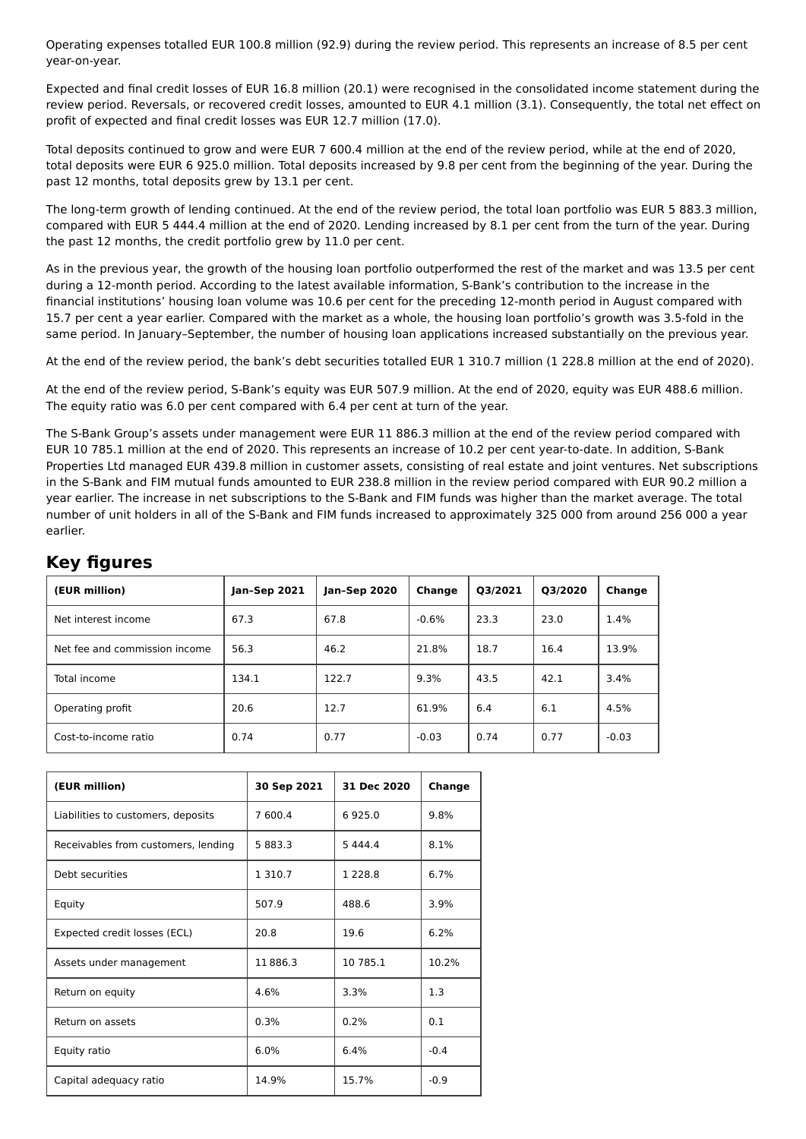Operating expenses totalled EUR 100.8 million (92.9) during the review period. This represents an increase of 8.5 per cent year-on-year.

Expected and final credit losses of EUR 16.8 million (20.1) were recognised in the consolidated income statement during the review period. Reversals, or recovered credit losses, amounted to EUR 4.1 million (3.1). Consequently, the total net effect on profit of expected and final credit losses was EUR 12.7 million (17.0).

Total deposits continued to grow and were EUR 7 600.4 million at the end of the review period, while at the end of 2020, total deposits were EUR 6 925.0 million. Total deposits increased by 9.8 per cent from the beginning of the year. During the past 12 months, total deposits grew by 13.1 per cent.

The long-term growth of lending continued. At the end of the review period, the total loan portfolio was EUR 5 883.3 million, compared with EUR 5 444.4 million at the end of 2020. Lending increased by 8.1 per cent from the turn of the year. During the past 12 months, the credit portfolio grew by 11.0 per cent.

As in the previous year, the growth of the housing loan portfolio outperformed the rest of the market and was 13.5 per cent during a 12-month period. According to the latest available information, S-Bank's contribution to the increase in the financial institutions' housing loan volume was 10.6 per cent for the preceding 12-month period in August compared with 15.7 per cent a year earlier. Compared with the market as a whole, the housing loan portfolio's growth was 3.5-fold in the same period. In January–September, the number of housing loan applications increased substantially on the previous year.

At the end of the review period, the bank's debt securities totalled EUR 1 310.7 million (1 228.8 million at the end of 2020).

At the end of the review period, S-Bank's equity was EUR 507.9 million. At the end of 2020, equity was EUR 488.6 million. The equity ratio was 6.0 per cent compared with 6.4 per cent at turn of the year.

The S-Bank Group's assets under management were EUR 11 886.3 million at the end of the review period compared with EUR 10 785.1 million at the end of 2020. This represents an increase of 10.2 per cent year-to-date. In addition, S-Bank Properties Ltd managed EUR 439.8 million in customer assets, consisting of real estate and joint ventures. Net subscriptions in the S-Bank and FIM mutual funds amounted to EUR 238.8 million in the review period compared with EUR 90.2 million a year earlier. The increase in net subscriptions to the S-Bank and FIM funds was higher than the market average. The total number of unit holders in all of the S-Bank and FIM funds increased to approximately 325 000 from around 256 000 a year earlier.

| -<br>-                        |              |              |         |         |         |         |
|-------------------------------|--------------|--------------|---------|---------|---------|---------|
| (EUR million)                 | Jan-Sep 2021 | Jan-Sep 2020 | Change  | Q3/2021 | Q3/2020 | Change  |
| Net interest income           | 67.3         | 67.8         | $-0.6%$ | 23.3    | 23.0    | 1.4%    |
| Net fee and commission income | 56.3         | 46.2         | 21.8%   | 18.7    | 16.4    | 13.9%   |
| Total income                  | 134.1        | 122.7        | 9.3%    | 43.5    | 42.1    | 3.4%    |
| Operating profit              | 20.6         | 12.7         | 61.9%   | 6.4     | 6.1     | 4.5%    |
| Cost-to-income ratio          | 0.74         | 0.77         | $-0.03$ | 0.74    | 0.77    | $-0.03$ |

## **Key figures**

| (EUR million)                       | 30 Sep 2021 | 31 Dec 2020 | Change |
|-------------------------------------|-------------|-------------|--------|
| Liabilities to customers, deposits  | 7 600.4     | 6925.0      | 9.8%   |
| Receivables from customers, lending | 5 883.3     | 5 4 4 4 . 4 | 8.1%   |
| Debt securities                     | 1 310.7     | 1 2 2 8 . 8 | 6.7%   |
| Equity                              | 507.9       | 488.6       | 3.9%   |
| Expected credit losses (ECL)        | 20.8        | 19.6        | 6.2%   |
| Assets under management             | 11886.3     | 10 785.1    | 10.2%  |
| Return on equity                    | 4.6%        | 3.3%        | 1.3    |
| Return on assets                    | 0.3%        | 0.2%        | 0.1    |
| Equity ratio                        | 6.0%        | 6.4%        | $-0.4$ |
| Capital adequacy ratio              | 14.9%       | 15.7%       | $-0.9$ |